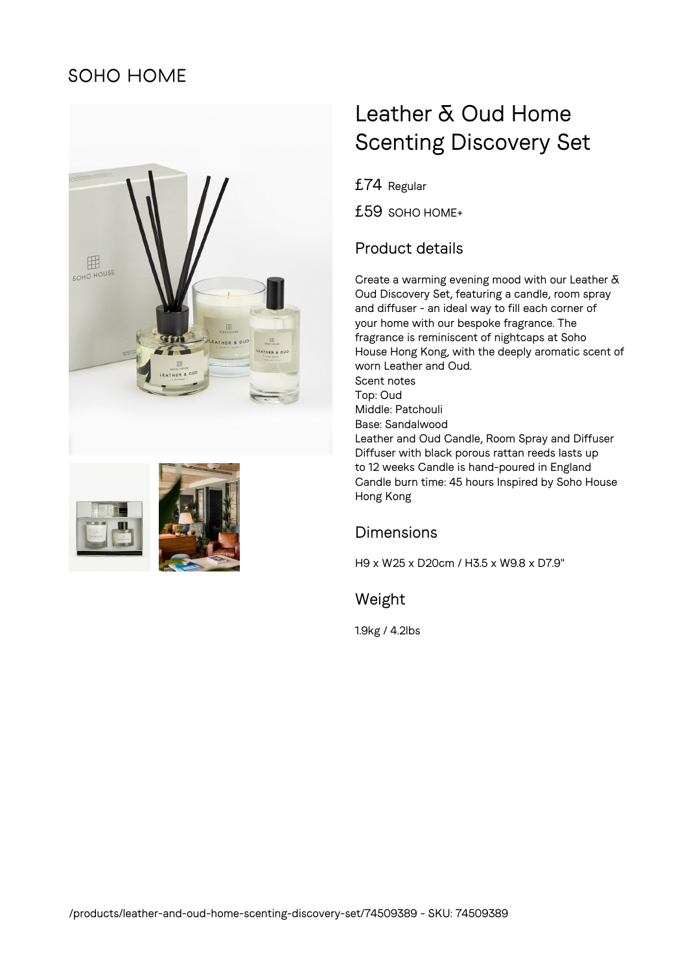## SOHO HOME





# Leather & Oud Home Scenting Discovery Set

£74 Regular

£59 SOHO HOME+

### Product details

Create a warming evening mood with our Leather & Oud Discovery Set, featuring a candle, room spray and diffuser - an ideal way to fill each corner of your home with our bespoke fragrance. The fragrance is reminiscent of nightcaps at Soho House Hong Kong, with the deeply aromatic scent of worn Leather and Oud. Scent notes Top: Oud Middle: Patchouli Base: Sandalwood Leather and Oud Candle, Room Spray and Diffuser Diffuser with black porous rattan reeds lasts up to 12 weeks Candle is hand-poured in England Candle burn time: 45 hours Inspired by Soho House Hong Kong

#### Dimensions

H9 x W25 x D20cm / H3.5 x W9.8 x D7.9"

#### Weight

1.9kg / 4.2lbs